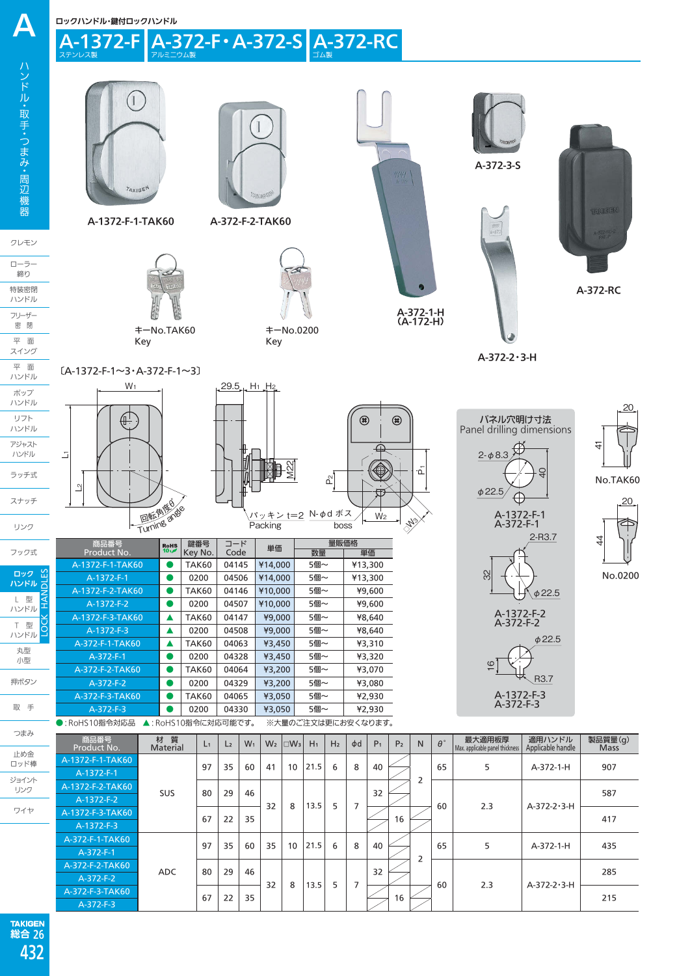ロックハンドル・鍵付ロックハンドル

A-1372-Fl

 $\boldsymbol{\Delta}$ 



**TAKIGEN**  26 総合 432